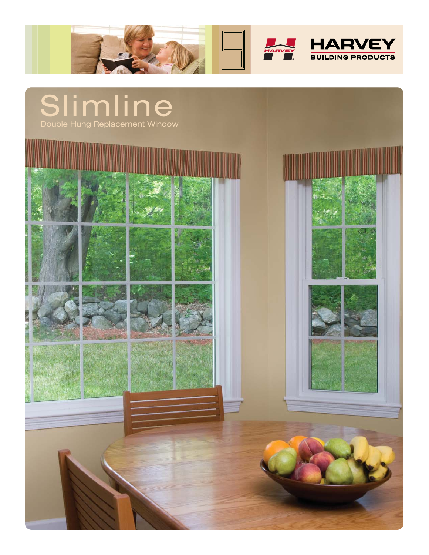

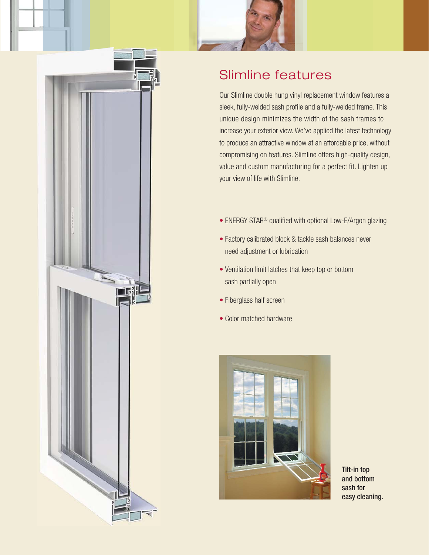



## Slimline features

Our Slimline double hung vinyl replacement window features a sleek, fully-welded sash profile and a fully-welded frame. This unique design minimizes the width of the sash frames to increase your exterior view. We've applied the latest technology to produce an attractive window at an affordable price, without compromising on features. Slimline offers high-quality design, value and custom manufacturing for a perfect fit. Lighten up your view of life with Slimline.

- ENERGY STAR<sup>®</sup> qualified with optional Low-E/Argon glazing
- Factory calibrated block & tackle sash balances never need adjustment or lubrication
- Ventilation limit latches that keep top or bottom sash partially open
- Fiberglass half screen
- Color matched hardware



Tilt-in top and bottom sash for easy cleaning.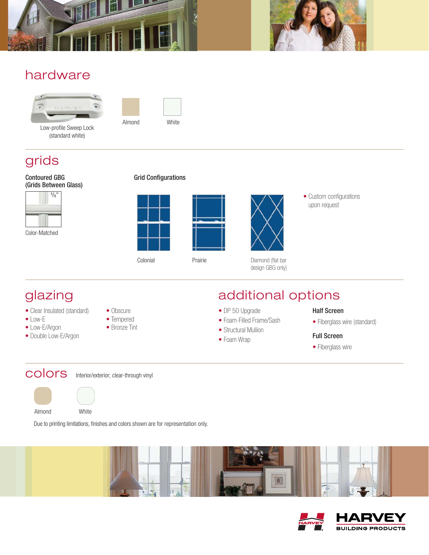



## hardware



Low-profile Sweep Lock (standard white)



#### grids

#### Contoured GBG (Grids Between Glass)



Color-Matched

#### Grid Configurations





design GBG only)

• Custom configurations upon request

# glazing

- Clear Insulated (standard)
- Low-E
- Low-E/Argon
- Double Low-E/Argon
- Obscure
- Tempered
- Bronze Tint

## additional options

- DP 50 Upgrade
- Foam-Filled Frame/Sash
- Structural Mullion
- Foam Wrap

#### Half Screen

• Fiberglass wire (standard)

#### Full Screen

• Fiberglass wire

colors Interior/exterior; clear-through vinyl



Due to printing limitations, finishes and colors shown are for representation only.